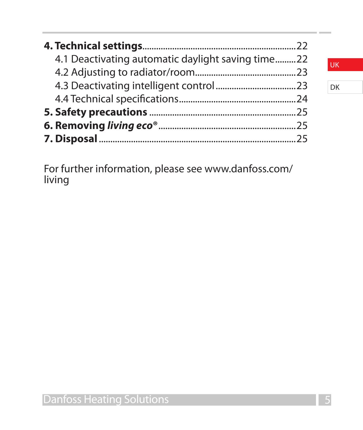| 4.1 Deactivating automatic daylight saving time22 |  |
|---------------------------------------------------|--|
|                                                   |  |
|                                                   |  |
|                                                   |  |
|                                                   |  |
|                                                   |  |
|                                                   |  |

For further information, please see www.danfoss.com/ living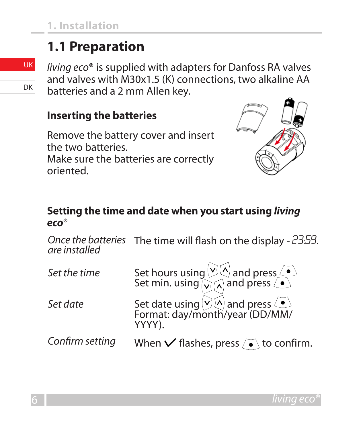## **1.1 Preparation**

*living eco***®** is supplied with adapters for Danfoss RA valves and valves with M30x1.5 (K) connections, two alkaline AA batteries and a 2 mm Allen key.

#### **Inserting the batteries**

Remove the battery cover and insert the two batteries. Make sure the batteries are correctly oriented.



#### **Setting the time and date when you start using** *living eco*®

*Once the batteries are installed* The time will flash on the display - 23:59.

| Set the time    | Set hours using $\sqrt{10}$ and press $\sqrt{10}$<br>Set min. using $\sqrt{10}$ and press $\sqrt{10}$ |
|-----------------|-------------------------------------------------------------------------------------------------------|
| Set date        | Set date using $\sqrt{2}$ and press<br>Format: day/month/year (DD/MM/<br>YYYY).                       |
| Confirm setting | When $\vee$ flashes, press $\sqrt{\bullet}$ to confirm.                                               |

DK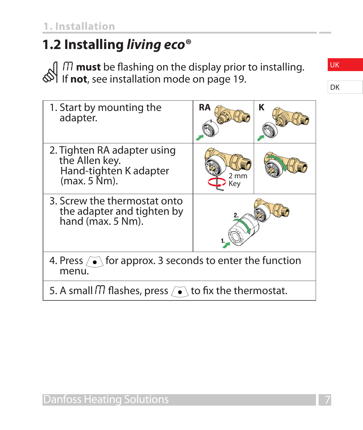# **1.2 Installing** *living eco***®**

M **must** be flashing on the display prior to installing. If **not**, see installation mode on page 19.

| 1. Start by mounting the<br>adapter.                                                                | RA                    | κ |
|-----------------------------------------------------------------------------------------------------|-----------------------|---|
| 2. Tighten RA adapter using<br>the Allen key.<br>Hand-tighten K adapter<br>$(max. 5 \mathrm{Nm})$ . | $2 \text{ mm}$<br>Key |   |
| 3. Screw the thermostat onto<br>the adapter and tighten by<br>hand $(max. 5 Nm)$ .                  |                       |   |
| 4. Press $\sqrt{\bullet}$ for approx. 3 seconds to enter the function<br>menu.                      |                       |   |
| 5. A small $\Pi$ flashes, press $\sqrt{\bullet}$ to fix the thermostat.                             |                       |   |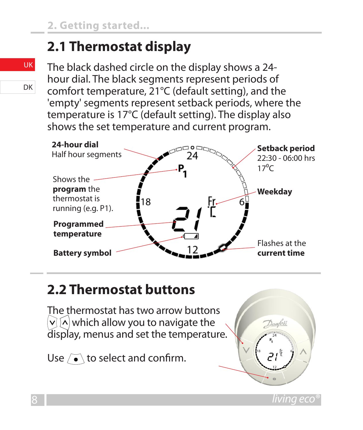## **2.1 Thermostat display**

The black dashed circle on the display shows a 24 hour dial. The black segments represent periods of comfort temperature, 21°C (default setting), and the 'empty' segments represent setback periods, where the temperature is 17°C (default setting). The display also shows the set temperature and current program.



## **2.2 Thermostat buttons**

The thermostat has two arrow buttons  $\vee$   $\wedge$  which allow you to navigate the display, menus and set the temperature.

Use  $\sqrt{\bullet}$  to select and confirm.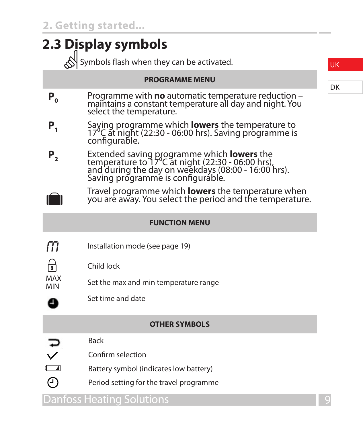| 2.3 Display symbols                       |                                                                                                                                                                                                    |  |  |  |
|-------------------------------------------|----------------------------------------------------------------------------------------------------------------------------------------------------------------------------------------------------|--|--|--|
| Symbols flash when they can be activated. |                                                                                                                                                                                                    |  |  |  |
|                                           | <b>PROGRAMME MENU</b>                                                                                                                                                                              |  |  |  |
| Р,                                        | Programme with no automatic temperature reduction -<br>maintains a constant temperature all day and night. You<br>select the temperature.                                                          |  |  |  |
| Ρ,                                        | Saving programme which <b>lowers</b> the temperature to<br>17 <sup>°</sup> C at night (22:30 - 06:00 hrs). Saving programme is<br>configurable.                                                    |  |  |  |
| Ρ,                                        | Extended saving programme which <b>lowers</b> the<br>temperature to 17°C at night (22:30 - 06:00 hrs),<br>and during the day on weekdays (08:00 - 16:00 hrs).<br>Saving programme is configurable. |  |  |  |
|                                           | Travel programme which <b>lowers</b> the temperature when<br>you are away. You select the period and the temperature.                                                                              |  |  |  |
|                                           | <b>FUNCTION MENU</b>                                                                                                                                                                               |  |  |  |
| m                                         | Installation mode (see page 19)                                                                                                                                                                    |  |  |  |
|                                           | Child lock                                                                                                                                                                                         |  |  |  |
| MAX<br>MIN                                | Set the max and min temperature range                                                                                                                                                              |  |  |  |
| o                                         | Set time and date                                                                                                                                                                                  |  |  |  |
|                                           | <b>OTHER SYMBOLS</b>                                                                                                                                                                               |  |  |  |
|                                           | <b>Back</b>                                                                                                                                                                                        |  |  |  |
| $\Box$                                    | Confirm selection                                                                                                                                                                                  |  |  |  |
|                                           | Battery symbol (indicates low battery)                                                                                                                                                             |  |  |  |
| ∩                                         | Period setting for the travel programme                                                                                                                                                            |  |  |  |
|                                           | Danfoss Heating Solutions                                                                                                                                                                          |  |  |  |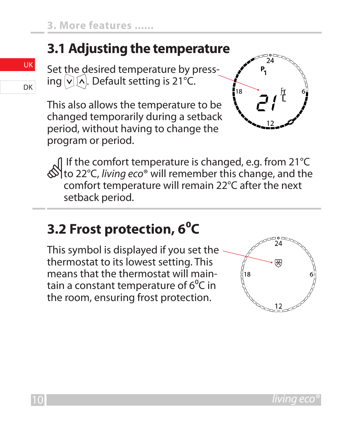## **3.1 Adjusting the temperature**

Set the desired temperature by pressing  $\vee$   $\wedge$ . Default setting is 21°C.

This also allows the temperature to be changed temporarily during a setback period, without having to change the program or period.



 If the comfort temperature is changed, e.g. from 21°C to 22°C, *living eco*® will remember this change, and the comfort temperature will remain 22°C after the next setback period.

## **3.2 Frost protection, 6⁰C**

This symbol is displayed if you set the thermostat to its lowest setting. This means that the thermostat will maintain a constant temperature of 6<sup>°</sup>C in the room, ensuring frost protection.

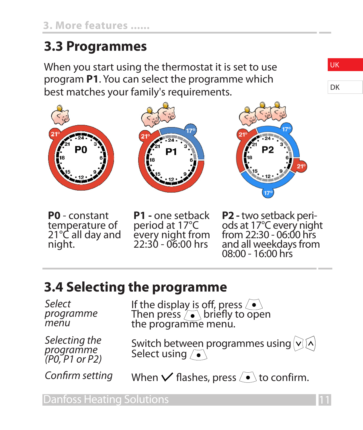## **3.3 Programmes**

When you start using the thermostat it is set to use program **P1**. You can select the programme which best matches your family's requirements.



**P0** - constant<br>temperature of 21°C all day and night.

**P1 -** one setback period at 17°C every night from 22:30 - 06:00 hrs

**P2 -** two setback peri- ods at 17°C every night from 22:30 - 06:00 hrs and all weekdays from 08:00 - 16:00 hrs

#### **3.4 Selecting the programme**

*Select programme menu*

*Selecting the programme (P0, P1 or P2)*

If the display is off, press  $\langle \bullet \rangle$ <br>Then press  $\langle \bullet \rangle$  briefly to open<br>the programme menu.

Switch between programmes using  $\vee$  M Select using  $\sqrt{\bullet}$ 

*Confirm setting* When  $\vee$  flashes, press  $\circ$  to confirm.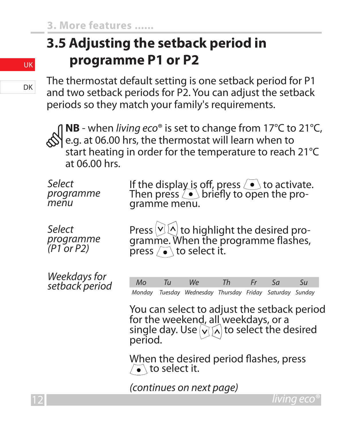# **3.5 Adjusting the setback period in programme P1 or P2**

The thermostat default setting is one setback period for P1 and two setback periods for P2. You can adjust the setback periods so they match your family's requirements.

**NB** - when *living eco*® is set to change from 17°C to 21°C,<br>e.g. at 06.00 hrs, the thermostat will learn when to<br>start heating in order for the temperature to reach 21°C at 06.00 hrs.

| Select<br>programme<br>menu       | If the display is off, press $\langle \bullet \rangle$ to activate.<br>Then press $\langle \bullet \rangle$ briefly to open the pro-<br>gramme menu.         |
|-----------------------------------|--------------------------------------------------------------------------------------------------------------------------------------------------------------|
| Select<br>programme<br>(P1 or P2) | Press $\vee$ ( $\wedge$ ) to highlight the desired pro-<br>gramme. When the programme flashes,<br>press $\sqrt{\bullet}$ to select it.                       |
| Weekdays for<br>setback period    | Tu<br>Th<br>$\overline{S}U$<br>M <sub>O</sub><br>We<br>Fr<br>5a<br>Tuesday Wednesday Thursday Friday Saturday Sunday<br>Monday                               |
|                                   | You can select to adjust the setback period<br>for the weekend, all weekdays, or a<br>single day. Use $\sqrt{\binom{n}{n}}$ to select the desired<br>period. |
|                                   | When the desired period flashes, press<br>$\sqrt{\bullet}$ to select it.                                                                                     |
|                                   | (continues on next page)                                                                                                                                     |
|                                   | <u>living ecc</u>                                                                                                                                            |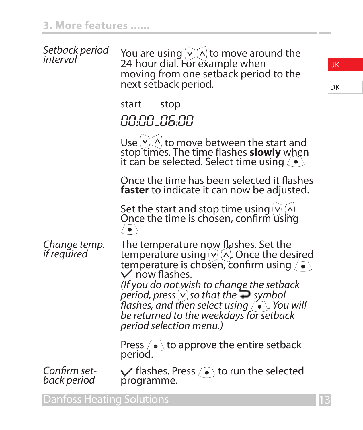| Setback period<br>interval  | You are using $ v $ to move around the<br>24-hour dial. For example when<br>moving from one setback period to the<br>next setback period.                                                                                                                                                                                                                                                            |  |
|-----------------------------|------------------------------------------------------------------------------------------------------------------------------------------------------------------------------------------------------------------------------------------------------------------------------------------------------------------------------------------------------------------------------------------------------|--|
|                             | start<br>stop<br>00:00_06:00                                                                                                                                                                                                                                                                                                                                                                         |  |
|                             | Use $ V $ to move between the start and<br>stop times. The time flashes <b>slowly</b> when<br>it can be selected. Select time using $\langle \bullet \rangle$                                                                                                                                                                                                                                        |  |
|                             | Once the time has been selected it flashes<br><b>faster</b> to indicate it can now be adjusted.                                                                                                                                                                                                                                                                                                      |  |
|                             | Set the start and stop time using $ v $ .<br>Once the time is chosen, confirm using<br>$\bullet$                                                                                                                                                                                                                                                                                                     |  |
| Change temp.<br>if required | The temperature now flashes. Set the<br>temperature using $ v\rangle$ [^]. Once the desired<br>temperature is chosen, confirm using /<br>$\vee$ now flashes.<br>(If you do not wish to change the setback<br>period, press $\vee$ so that the $\supseteq$ symbol<br>flashes, and then select using $\sqrt{\bullet}$ . You will<br>be returned to the weekdays for setback<br>period selection menu.) |  |
|                             | Press $\sqrt{\bullet}$ to approve the entire setback<br>period.                                                                                                                                                                                                                                                                                                                                      |  |
| Confirm set-<br>back period | $\sqrt{}$ flashes. Press $\sqrt{ } \cdot \$ to run the selected<br>programme.                                                                                                                                                                                                                                                                                                                        |  |
| Danfoss Heating Solutions   |                                                                                                                                                                                                                                                                                                                                                                                                      |  |

DK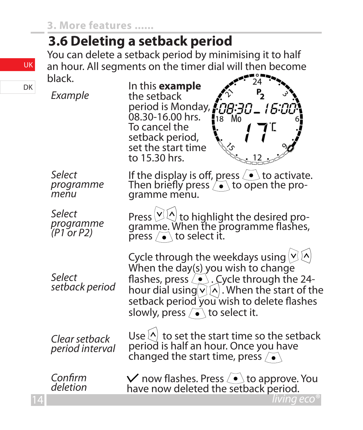#### **3.6 Deleting a setback period**

You can delete a setback period by minimising it to half an hour. All segments on the timer dial will then become black.

*Example*

In this **example** the setback period is Monday,  $\ell$ ות:F וב:R 08.30-16.00 hrs. To cancel the setback period, set the start time to 15.30 hrs. *Select*  If the display is off, press  $\left\langle \bullet\right\rangle$  to activate. *programme*  Then briefly press  $\left\{\bullet\right\}$  to open the pro-<br>gramme menu. *menu Select*  Press  $\boxdot \boxtimes$  to highlight the desired pro-<br>gramme. When the programme flashes, *programme (P1 or P2)* press  $\sqrt{\bullet}$  to select it. Cycle through the weekdays using  $\vee$  A<br>When the day(s) you wish to change *Select*  flashes, press  $\langle \bullet \rangle$ . Cycle through the 24*setback period* hour dial using  $\vee$   $\wedge$  . When the start of the setback period you wish to delete flashes slowly, press  $\vec{\bullet}$  to select it.

*Clear setback period interval* Use  $\langle \cdot \rangle$  to set the start time so the setback<br>period is half an hour. Once you have changed the start time, press  $\sqrt{\bullet}$ 

*Confirm deletion*  $\vee$  now flashes. Press  $\overline{\bullet}$  to approve. You have now deleted the setback period.

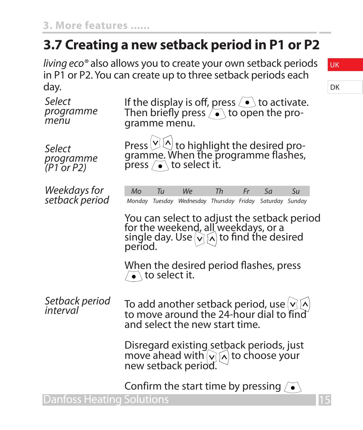## **3.7 Creating a new setback period in P1 or P2**

*living eco®* also allows you to create your own setback periods in P1 or P2. You can create up to three setback periods each day.

| uu y.                               |                                                                                                                                                              |
|-------------------------------------|--------------------------------------------------------------------------------------------------------------------------------------------------------------|
| Select<br>programme<br>menu         | If the display is off, press $\langle \bullet \rangle$ to activate.<br>Then briefly press $\sqrt{\bullet}$ to open the pro-<br>gramme menu.                  |
| Select<br>programme<br>$(P1$ or P2) | Press $\boxtimes$ $\otimes$ to highlight the desired pro-<br>gramme. When the programme flashes,<br>press $\left\langle \bullet \right\rangle$ to select it. |
| Weekdays for<br>setback period      | M <sub>O</sub><br>Tu<br>We<br>Th<br>Fr<br>5a<br>Su<br>Monday Tuesday Wednesday Thursday Friday Saturday Sunday                                               |
|                                     | You can select to adjust the setback period<br>for the weekend, all weekdays, or a<br>single day. Use $\sqrt{\wedge}$ to find the desired<br>period.         |
|                                     | When the desired period flashes, press<br>• to select it.                                                                                                    |
| Setback period<br>interval          | To add another setback period, use vija<br>to move around the 24-hour dial to find<br>and select the new start time.                                         |
|                                     | Disregard existing setback periods, just<br>move ahead with $\sqrt{\wedge}$ to choose your<br>new setback period.                                            |
|                                     | Confirm the start time by pressing $\sqrt{\bullet}$                                                                                                          |
|                                     |                                                                                                                                                              |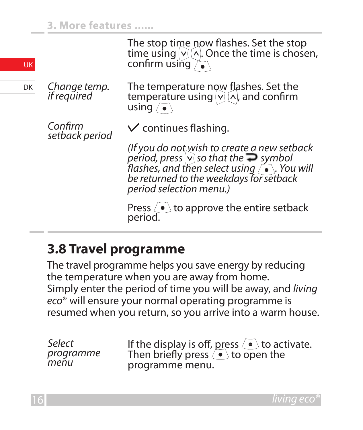| <b>UK</b> |                             | The stop time now flashes. Set the stop<br>time using $\vee$ $\vee$ $\wedge$ . Once the time is chosen,<br>confirm using $\overline{\wedge}$ .                                                                                                       |
|-----------|-----------------------------|------------------------------------------------------------------------------------------------------------------------------------------------------------------------------------------------------------------------------------------------------|
| DK        | Change temp.<br>if required | The temperature now flashes. Set the<br>temperature using $\vee$ $\wedge$ , and confirm<br>using $\sqrt{•}$                                                                                                                                          |
|           | Confirm<br>setback period   | $\vee$ continues flashing.                                                                                                                                                                                                                           |
|           |                             | (If you do not wish to create a new setback<br>period, press $\vee$ so that the $\rightarrow$ symbol<br>flashes, and then select using $\int$ $\cdot$ $\cdot$ $\cdot$ You will<br>be returned to the weekdays for setback<br>period selection menu.) |
|           |                             | Press $\langle \bullet \rangle$ to approve the entire setback<br>period.                                                                                                                                                                             |

#### **3.8 Travel programme**

The travel programme helps you save energy by reducing the temperature when you are away from home. Simply enter the period of time you will be away, and *living eco*® will ensure your normal operating programme is resumed when you return, so you arrive into a warm house.

*Select programme menu*

If the display is off, press ∠• ∖to activate.<br>Then briefly press ∕• to open the programme menu.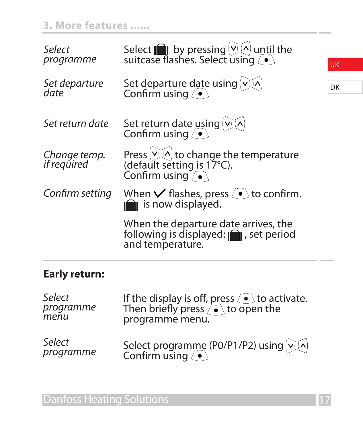#### **3. More features ......**

| Select<br>programme         | Select $\Box$ by pressing $\Box$ \ until the suitcase flashes. Select using $\Box$                                      | UK |
|-----------------------------|-------------------------------------------------------------------------------------------------------------------------|----|
| Set departure<br>date       | Set departure date using $\bigcirc \bigcirc$ (A)<br>Confirm using $\bigcirc$                                            | DK |
| Set return date             | Set return date using $\bigcirc \bigcirc$ Confirm using $\bullet$                                                       |    |
| Change temp.<br>if required | Press $\mathcal{O}(\sqrt{2})$ to change the temperature<br>(default setting is 17°C).<br>Confirm using $\sqrt{\bullet}$ |    |
| Confirm setting             | When $\vee$ flashes, press $\overline{\bullet}$ to confirm.<br><b>In</b> is now displayed.                              |    |
|                             | When the departure date arrives, the<br>following is displayed: $\bigcap$ , set period<br>and temperature.              |    |

#### **Early return:**

| Select<br>programme<br>menu | If the display is off, press $\circled{ }$ to activate.<br>Then briefly press $\circled{ }$ to open the<br>programme menu. |
|-----------------------------|----------------------------------------------------------------------------------------------------------------------------|
| Select                      | Select programme (P0/P1/P2) using $\bigcirc \bigcirc$ $\bigwedge$                                                          |
| programme                   | Confirm using $\langle \bullet \rangle$                                                                                    |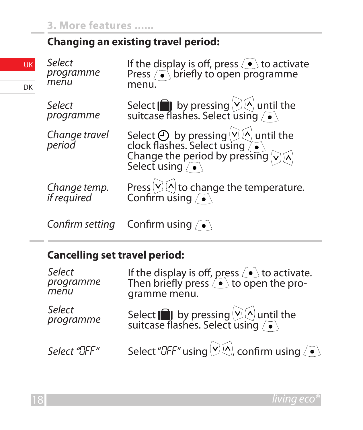#### **Changing an existing travel period:**

| ĸ | Select<br>programme<br>menu | If the display is off, press $\bullet$ to activate<br>Press extending to open programme<br>menu.                                                                           |
|---|-----------------------------|----------------------------------------------------------------------------------------------------------------------------------------------------------------------------|
|   | Select<br>programme         | Select $\Box$ by pressing $\Box$ until the suitcase flashes. Select using $\Box$                                                                                           |
|   | Change travel<br>period     | Select $\bigoplus$ by pressing $\bigotimes$ until the<br>clock flashes. Select using $\bigodot$<br>Change the period by pressing $\bigotimes$ A<br>Select using $\bigodot$ |
|   | Change temp.<br>if required | Press $\vee$ $\otimes$ to change the temperature.<br>Confirm using $\bullet$                                                                                               |
|   |                             | Confirm setting Confirm using $\sqrt{\bullet}$                                                                                                                             |

#### **Cancelling set travel period:**

| Select<br>programme<br>menu | If the display is off, press $\left\{\bullet\right\}$ to activate.<br>Then briefly press $\left\{\bullet\right\}$ to open the pro-<br>gramme menu. |
|-----------------------------|----------------------------------------------------------------------------------------------------------------------------------------------------|
| Select<br>programme         | Select $\Box$ by pressing $\Box$ until the suitcase flashes. Select using $\Box$                                                                   |
| Select "DFF"                | Select "DFF" using $\vee$ $\wedge$ , confirm using $\wedge$                                                                                        |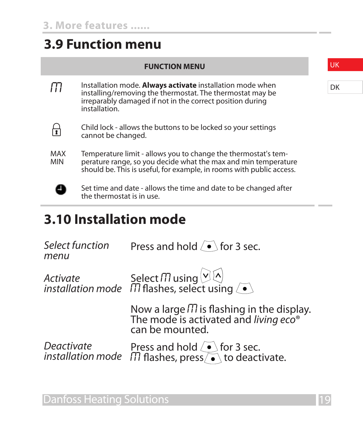#### **3.9 Function menu**

#### **FUNCTION MENU**

**M** Installation mode. Always activate installation mode when installing/removing the thermostat. The thermostat may be irreparably damaged if not in the correct position during installation.



Child lock - allows the buttons to be locked so your settings cannot be changed.



Temperature limit - allows you to change the thermostat's temperature range, so you decide what the max and min temperature should be. This is useful, for example, in rooms with public access.



Set time and date - allows the time and date to be changed after the thermostat is in use.

#### **3.10 Installation mode**

| Select function<br>menu | Press and hold $\sqrt{\bullet}$ for 3 sec.                                                                               |
|-------------------------|--------------------------------------------------------------------------------------------------------------------------|
|                         |                                                                                                                          |
|                         | Now a large $\pi$ is flashing in the display.<br>The mode is activated and living eco®<br>can be mounted.                |
| Deactivate              | Press and hold $\overline{\bullet}$ for 3 sec.<br>installation mode $\Box$ flashes, press $\bar{\bullet}$ to deactivate. |

UK DK

Danfoss Heating Solutions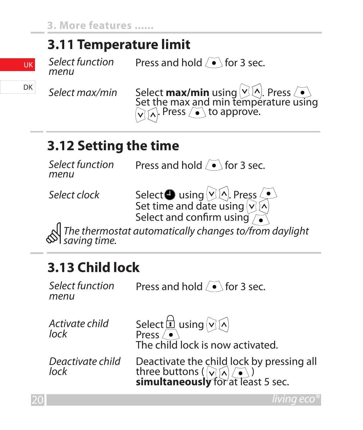#### **3.11 Temperature limit**

*Select function* 

Press and hold  $\sqrt{\bullet}$  for 3 sec.

**Select max/min** Select **max/min** using  $\overline{\otimes}$  Press  $\overline{\bullet}$  $\sqrt{n}$ . Press  $\sqrt{\bullet}$  to approve.

### **3.12 Setting the time**

*Select function* 

Press and hold  $\sqrt{\bullet}$  for 3 sec.

S*elect clock* Select © using . Press<br>Set time and date using . Select and confirm using

 *The thermostat automatically changes to/from daylight saving time.*

## **3.13 Child lock**

*Select function*  Press and hold  $\sqrt{\bullet}$  for 3 sec. *Activate child lock* Select  $\overline{u}$  using  $\odot$   $\odot$ Press The child lock is now activated.

*Deactivate child Deactivate child* Deactivate the child lock by pressing all<br>lock three buttons ( **) and the condition**<br>**simultaneously** for at least 5 sec.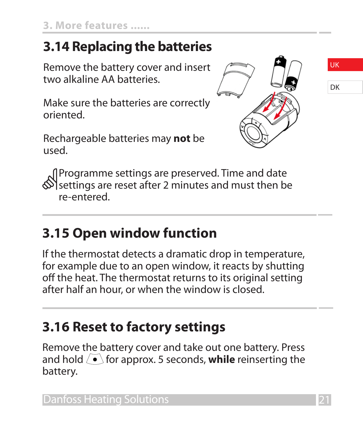## **3.14 Replacing the batteries**

Remove the battery cover and insert two alkaline AA batteries.

Make sure the batteries are correctly oriented.

Rechargeable batteries may **not** be used.



UK

DK

 Programme settings are preserved. Time and date settings are reset after 2 minutes and must then be re-entered.

## **3.15 Open window function**

If the thermostat detects a dramatic drop in temperature, for example due to an open window, it reacts by shutting off the heat. The thermostat returns to its original setting after half an hour, or when the window is closed.

# **3.16 Reset to factory settings**

Remove the battery cover and take out one battery. Press and hold  $\sqrt{\bullet}$  for approx. 5 seconds, **while** reinserting the battery.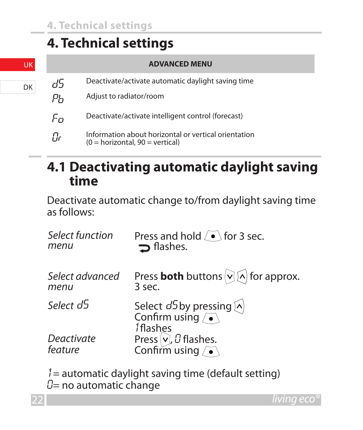## **4. Technical settings**

|    | <b>ADVANCED MENU</b>                                                                      |
|----|-------------------------------------------------------------------------------------------|
| d5 | Deactivate/activate automatic daylight saving time                                        |
| PҺ | Adjust to radiator/room                                                                   |
| Fп | Deactivate/activate intelligent control (forecast)                                        |
| Πr | Information about horizontal or vertical orientation<br>$(0 = horizontal, 90 = vertical)$ |

#### **4.1 Deactivating automatic daylight saving time**

Deactivate automatic change to/from daylight saving time as follows:

| Select function       | Press and hold $\sqrt{\bullet}$ for 3 sec.                                                    |
|-----------------------|-----------------------------------------------------------------------------------------------|
| menu                  | $\Rightarrow$ flashes.                                                                        |
| Select advanced       | Press <b>both</b> buttons $\bigcirc$ of $\wedge$ for approx.                                  |
| menu                  | 3 sec.                                                                                        |
| Select d <sup>5</sup> | Select $d^5$ by pressing $\widehat{\wedge}$<br>Confirm using $\widehat{\bullet}$<br>1 flashes |
| Deactivate<br>feature | Press $\vee$ , <i>C</i> flashes.<br>Confirm using $\sqrt{\bullet}$                            |

 $1=$  automatic daylight saving time (default setting)  $D=$  no automatic change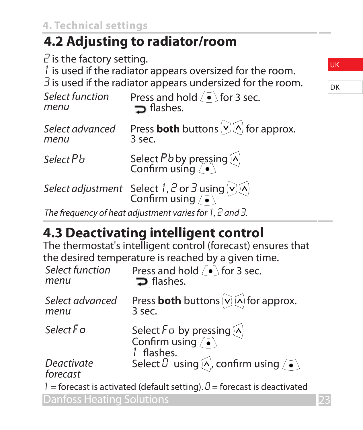## **4.2 Adjusting to radiator/room**

 $2$  is the factory setting. 1 is used if the radiator appears oversized for the room.  $\overline{3}$  is used if the radiator appears undersized for the room. *Select function*  Press and hold  $\sqrt{\bullet}$  for 3 sec.  $\supset$  flashes.

| Select advanced | Press <b>both</b> buttons $\vee$ $\wedge$ for approx.         |
|-----------------|---------------------------------------------------------------|
| menu            | 3 sec.                                                        |
| Select P b      | Select Pb by pressing $\bigwedge$<br>Confirm using $\bigcirc$ |

*Select adjustment* Select 1, 2 or 3 using  $\sqrt{2}$ 

*The frequency of heat adjustment varies for* 1*,* 2 *and* 3*.*

# **4.3 Deactivating intelligent control**

The thermostat's intelligent control (forecast) ensures that the desired temperature is reached by a given time.

| Select function<br>menu                                                      | Press and hold (.) for 3 sec.<br>$\Rightarrow$ flashes.                                  |  |
|------------------------------------------------------------------------------|------------------------------------------------------------------------------------------|--|
| Select advanced<br>menu                                                      | Press <b>both</b> buttons $\bigcirc$ of or approx.<br>3 sec.                             |  |
| Select F a                                                                   | Select F a by pressing $[\wedge]$<br>Confirm using $\sqrt{\bullet}$<br>1 flashes.        |  |
| Deactivate<br>forecast                                                       | Select $\theta$ using $\left[\wedge\right]$ , confirm using $\left/\bullet\right\rangle$ |  |
| $1 =$ forecast is activated (default setting). $0 =$ forecast is deactivated |                                                                                          |  |
| Danfoss Heating Solutions                                                    |                                                                                          |  |